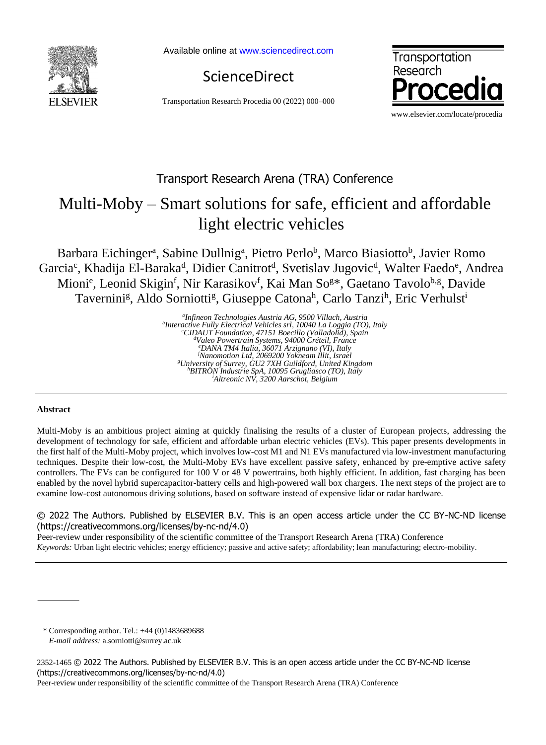

Available online a[t www.sciencedirect.com](http://www.sciencedirect.com/science/journal/22107843)

ScienceDirect

Transportation Research Procedia 00 (2022) 000–000



## Transport Research Arena (TRA) Conference

# Multi-Moby – Smart solutions for safe, efficient and affordable light electric vehicles

Barbara Eichinger<sup>a</sup>, Sabine Dullnig<sup>a</sup>, Pietro Perlo<sup>b</sup>, Marco Biasiotto<sup>b</sup>, Javier Romo Garcia<sup>c</sup>, Khadija El-Baraka<sup>d</sup>, Didier Canitrot<sup>d</sup>, Svetislav Jugovic<sup>d</sup>, Walter Faedo<sup>e</sup>, Andrea Mioni<sup>e</sup>, Leonid Skigin<sup>f</sup>, Nir Karasikov<sup>f</sup>, Kai Man So<sup>g\*</sup>, Gaetano Tavolo<sup>b,g</sup>, Davide Tavernini<sup>g</sup>, Aldo Sorniotti<sup>g</sup>, Giuseppe Catona<sup>h</sup>, Carlo Tanzi<sup>h</sup>, Eric Verhulst<sup>i</sup>

> *a Infineon Technologies Austria AG, 9500 Villach, Austria b Interactive Fully Electrical Vehicles srl, 10040 La Loggia (TO), Italy <sup>c</sup>CIDAUT Foundation, 47151 Boecillo (Valladolid), Spain <sup>d</sup>Valeo Powertrain Systems, 94000 Créteil, France <sup>e</sup>DANA TM4 Italia, 36071 Arzignano (VI), Italy <sup>f</sup>Nanomotion Ltd, 2069200 Yokneam Illit, Israel <sup>g</sup>University of Surrey, GU2 7XH Guildford, United Kingdom <sup>h</sup>BITRON Industrie SpA, 10095 Grugliasco (TO), Italy <sup>i</sup>Altreonic NV, 3200 Aarschot, Belgium*

#### **Abstract**

Multi-Moby is an ambitious project aiming at quickly finalising the results of a cluster of European projects, addressing the development of technology for safe, efficient and affordable urban electric vehicles (EVs). This paper presents developments in the first half of the Multi-Moby project, which involves low-cost M1 and N1 EVs manufactured via low-investment manufacturing techniques. Despite their low-cost, the Multi-Moby EVs have excellent passive safety, enhanced by pre-emptive active safety controllers. The EVs can be configured for 100 V or 48 V powertrains, both highly efficient. In addition, fast charging has been enabled by the novel hybrid supercapacitor-battery cells and high-powered wall box chargers. The next steps of the project are to examine low-cost autonomous driving solutions, based on software instead of expensive lidar or radar hardware.

#### © 2022 The Authors. Published by ELSEVIER B.V. This is an open access article under the CC BY-NC-ND license (https://creativecommons.org/licenses/by-nc-nd/4.0)

Peer-review under responsibility of the scientific committee of the Transport Research Arena (TRA) Conference *Keywords:* Urban light electric vehicles; energy efficiency; passive and active safety; affordability; lean manufacturing; electro-mobility.

\* Corresponding author. Tel.: +44 (0)1483689688 *E-mail address:* a.sorniotti@surrey.ac.uk

Peer-review under responsibility of the scientific committee of the Transport Research Arena (TRA) Conference

<sup>2352-1465</sup> © 2022 The Authors. Published by ELSEVIER B.V. This is an open access article under the CC BY-NC-ND license [\(https://creativecommons.org/licenses/by-nc-nd/4.0\)](https://nam11.safelinks.protection.outlook.com/?url=https%3A%2F%2Fcreativecommons.org%2Flicenses%2Fby-nc-nd%2F4.0&data=04%7C01%7CTRPRO%40elsevier.com%7Cfe7f678c069443f987fc08da0ae2366d%7C9274ee3f94254109a27f9fb15c10675d%7C0%7C0%7C637834263935642224%7CUnknown%7CTWFpbGZsb3d8eyJWIjoiMC4wLjAwMDAiLCJQIjoiV2luMzIiLCJBTiI6Ik1haWwiLCJXVCI6Mn0%3D%7C3000&sdata=6fiVe3qP4DmOI1udB2faFYZF9Dhh%2FLqhoLYmm1k%2B4dc%3D&reserved=0)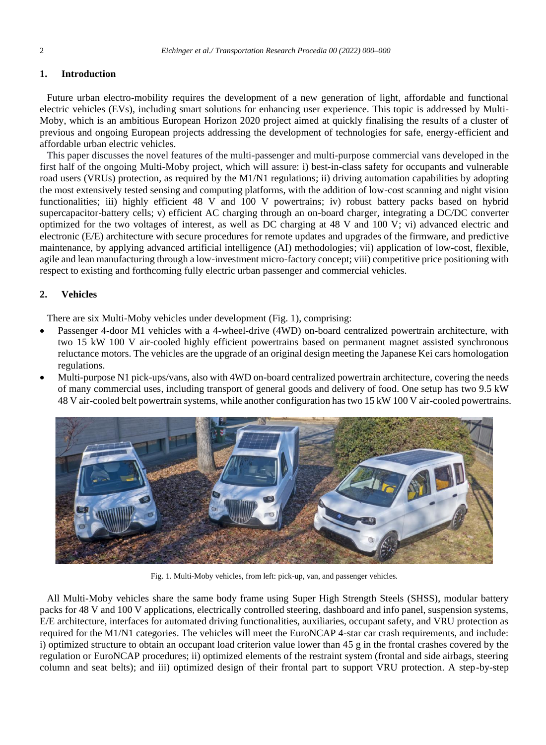#### **1. Introduction**

Future urban electro-mobility requires the development of a new generation of light, affordable and functional electric vehicles (EVs), including smart solutions for enhancing user experience. This topic is addressed by Multi-Moby, which is an ambitious European Horizon 2020 project aimed at quickly finalising the results of a cluster of previous and ongoing European projects addressing the development of technologies for safe, energy-efficient and affordable urban electric vehicles.

This paper discusses the novel features of the multi-passenger and multi-purpose commercial vans developed in the first half of the ongoing Multi-Moby project, which will assure: i) best-in-class safety for occupants and vulnerable road users (VRUs) protection, as required by the M1/N1 regulations; ii) driving automation capabilities by adopting the most extensively tested sensing and computing platforms, with the addition of low-cost scanning and night vision functionalities; iii) highly efficient 48 V and 100 V powertrains; iv) robust battery packs based on hybrid supercapacitor-battery cells; v) efficient AC charging through an on-board charger, integrating a DC/DC converter optimized for the two voltages of interest, as well as DC charging at 48 V and 100 V; vi) advanced electric and electronic (E/E) architecture with secure procedures for remote updates and upgrades of the firmware, and predictive maintenance, by applying advanced artificial intelligence (AI) methodologies; vii) application of low-cost, flexible, agile and lean manufacturing through a low-investment micro-factory concept; viii) competitive price positioning with respect to existing and forthcoming fully electric urban passenger and commercial vehicles.

### **2. Vehicles**

There are six Multi-Moby vehicles under development [\(Fig. 1\)](#page-1-0), comprising:

- Passenger 4-door M1 vehicles with a 4-wheel-drive (4WD) on-board centralized powertrain architecture, with two 15 kW 100 V air-cooled highly efficient powertrains based on permanent magnet assisted synchronous reluctance motors. The vehicles are the upgrade of an original design meeting the Japanese Kei cars homologation regulations.
- Multi-purpose N1 pick-ups/vans, also with 4WD on-board centralized powertrain architecture, covering the needs of many commercial uses, including transport of general goods and delivery of food. One setup has two 9.5 kW 48 V air-cooled belt powertrain systems, while another configuration has two 15 kW 100 V air-cooled powertrains.



Fig. 1. Multi-Moby vehicles, from left: pick-up, van, and passenger vehicles.

<span id="page-1-0"></span>All Multi-Moby vehicles share the same body frame using Super High Strength Steels (SHSS), modular battery packs for 48 V and 100 V applications, electrically controlled steering, dashboard and info panel, suspension systems, E/E architecture, interfaces for automated driving functionalities, auxiliaries, occupant safety, and VRU protection as required for the M1/N1 categories. The vehicles will meet the EuroNCAP 4-star car crash requirements, and include: i) optimized structure to obtain an occupant load criterion value lower than 45 g in the frontal crashes covered by the regulation or EuroNCAP procedures; ii) optimized elements of the restraint system (frontal and side airbags, steering column and seat belts); and iii) optimized design of their frontal part to support VRU protection. A step-by-step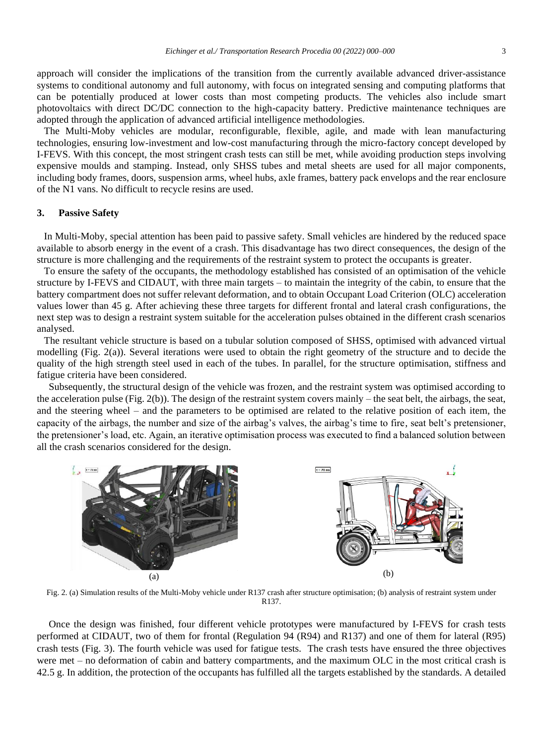approach will consider the implications of the transition from the currently available advanced driver-assistance systems to conditional autonomy and full autonomy, with focus on integrated sensing and computing platforms that can be potentially produced at lower costs than most competing products. The vehicles also include smart photovoltaics with direct DC/DC connection to the high-capacity battery. Predictive maintenance techniques are adopted through the application of advanced artificial intelligence methodologies.

The Multi-Moby vehicles are modular, reconfigurable, flexible, agile, and made with lean manufacturing technologies, ensuring low-investment and low-cost manufacturing through the micro-factory concept developed by I-FEVS. With this concept, the most stringent crash tests can still be met, while avoiding production steps involving expensive moulds and stamping. Instead, only SHSS tubes and metal sheets are used for all major components, including body frames, doors, suspension arms, wheel hubs, axle frames, battery pack envelops and the rear enclosure of the N1 vans. No difficult to recycle resins are used.

#### **3. Passive Safety**

In Multi-Moby, special attention has been paid to passive safety. Small vehicles are hindered by the reduced space available to absorb energy in the event of a crash. This disadvantage has two direct consequences, the design of the structure is more challenging and the requirements of the restraint system to protect the occupants is greater.

To ensure the safety of the occupants, the methodology established has consisted of an optimisation of the vehicle structure by I-FEVS and CIDAUT, with three main targets – to maintain the integrity of the cabin, to ensure that the battery compartment does not suffer relevant deformation, and to obtain Occupant Load Criterion (OLC) acceleration values lower than 45 g. After achieving these three targets for different frontal and lateral crash configurations, the next step was to design a restraint system suitable for the acceleration pulses obtained in the different crash scenarios analysed.

The resultant vehicle structure is based on a tubular solution composed of SHSS, optimised with advanced virtual modelling [\(Fig. 2\(](#page-2-0)a)). Several iterations were used to obtain the right geometry of the structure and to decide the quality of the high strength steel used in each of the tubes. In parallel, for the structure optimisation, stiffness and fatigue criteria have been considered.

Subsequently, the structural design of the vehicle was frozen, and the restraint system was optimised according to the acceleration pulse [\(Fig. 2\(](#page-2-0)b)). The design of the restraint system covers mainly – the seat belt, the airbags, the seat, and the steering wheel – and the parameters to be optimised are related to the relative position of each item, the capacity of the airbags, the number and size of the airbag's valves, the airbag's time to fire, seat belt's pretensioner, the pretensioner's load, etc. Again, an iterative optimisation process was executed to find a balanced solution between all the crash scenarios considered for the design.



<span id="page-2-0"></span>Fig. 2. (a) Simulation results of the Multi-Moby vehicle under R137 crash after structure optimisation; (b) analysis of restraint system under R137.

Once the design was finished, four different vehicle prototypes were manufactured by I-FEVS for crash tests performed at CIDAUT, two of them for frontal (Regulation 94 (R94) and R137) and one of them for lateral (R95) crash tests [\(Fig. 3\)](#page-3-0). The fourth vehicle was used for fatigue tests. The crash tests have ensured the three objectives were met – no deformation of cabin and battery compartments, and the maximum OLC in the most critical crash is 42.5 g. In addition, the protection of the occupants has fulfilled all the targets established by the standards. A detailed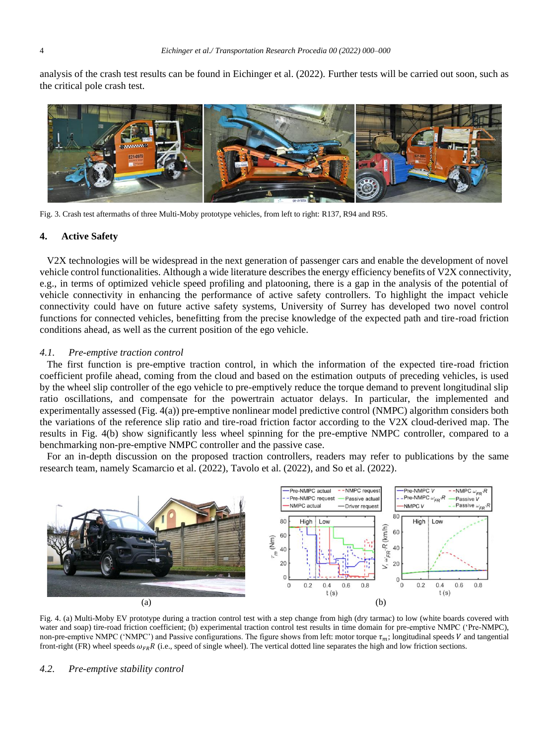analysis of the crash test results can be found in Eichinger et al. (2022). Further tests will be carried out soon, such as the critical pole crash test.



Fig. 3. Crash test aftermaths of three Multi-Moby prototype vehicles, from left to right: R137, R94 and R95.

#### <span id="page-3-0"></span>**4. Active Safety**

V2X technologies will be widespread in the next generation of passenger cars and enable the development of novel vehicle control functionalities. Although a wide literature describes the energy efficiency benefits of V2X connectivity, e.g., in terms of optimized vehicle speed profiling and platooning, there is a gap in the analysis of the potential of vehicle connectivity in enhancing the performance of active safety controllers. To highlight the impact vehicle connectivity could have on future active safety systems, University of Surrey has developed two novel control functions for connected vehicles, benefitting from the precise knowledge of the expected path and tire-road friction conditions ahead, as well as the current position of the ego vehicle.

#### *4.1. Pre-emptive traction control*

The first function is pre-emptive traction control, in which the information of the expected tire-road friction coefficient profile ahead, coming from the cloud and based on the estimation outputs of preceding vehicles, is used by the wheel slip controller of the ego vehicle to pre-emptively reduce the torque demand to prevent longitudinal slip ratio oscillations, and compensate for the powertrain actuator delays. In particular, the implemented and experimentally assessed [\(Fig. 4\(](#page-3-1)a)) pre-emptive nonlinear model predictive control (NMPC) algorithm considers both the variations of the reference slip ratio and tire-road friction factor according to the V2X cloud-derived map. The results in [Fig. 4\(](#page-3-1)b) show significantly less wheel spinning for the pre-emptive NMPC controller, compared to a benchmarking non-pre-emptive NMPC controller and the passive case.

For an in-depth discussion on the proposed traction controllers, readers may refer to publications by the same research team, namely Scamarcio et al. (2022), Tavolo et al. (2022), and So et al. (2022).



<span id="page-3-1"></span>Fig. 4. (a) Multi-Moby EV prototype during a traction control test with a step change from high (dry tarmac) to low (white boards covered with water and soap) tire-road friction coefficient; (b) experimental traction control test results in time domain for pre-emptive NMPC ('Pre-NMPC), non-pre-emptive NMPC ('NMPC') and Passive configurations. The figure shows from left: motor torque  $\tau_m$ ; longitudinal speeds V and tangential front-right (FR) wheel speeds  $\omega_{FR}R$  (i.e., speed of single wheel). The vertical dotted line separates the high and low friction sections.

#### *4.2. Pre-emptive stability control*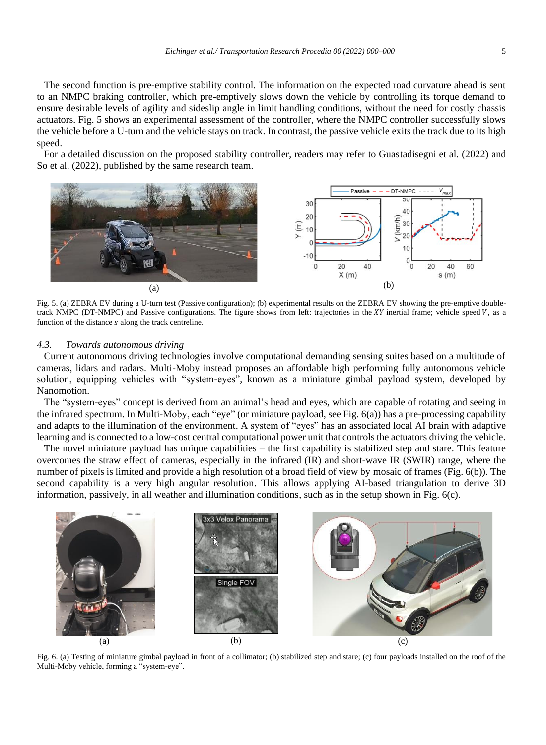The second function is pre-emptive stability control. The information on the expected road curvature ahead is sent to an NMPC braking controller, which pre-emptively slows down the vehicle by controlling its torque demand to ensure desirable levels of agility and sideslip angle in limit handling conditions, without the need for costly chassis actuators. [Fig. 5](#page-4-0) shows an experimental assessment of the controller, where the NMPC controller successfully slows the vehicle before a U-turn and the vehicle stays on track. In contrast, the passive vehicle exits the track due to its high speed.

For a detailed discussion on the proposed stability controller, readers may refer to Guastadisegni et al. (2022) and So et al. (2022), published by the same research team.



<span id="page-4-0"></span>Fig. 5. (a) ZEBRA EV during a U-turn test (Passive configuration); (b) experimental results on the ZEBRA EV showing the pre-emptive doubletrack NMPC (DT-NMPC) and Passive configurations. The figure shows from left: trajectories in the XY inertial frame; vehicle speed V, as a function of the distance  $s$  along the track centreline.

#### *4.3. Towards autonomous driving*

Current autonomous driving technologies involve computational demanding sensing suites based on a multitude of cameras, lidars and radars. Multi-Moby instead proposes an affordable high performing fully autonomous vehicle solution, equipping vehicles with "system-eyes", known as a miniature gimbal payload system, developed by Nanomotion.

The "system-eyes" concept is derived from an animal's head and eyes, which are capable of rotating and seeing in the infrared spectrum. In Multi-Moby, each "eye" (or miniature payload, se[e Fig. 6\(](#page-4-1)a)) has a pre-processing capability and adapts to the illumination of the environment. A system of "eyes" has an associated local AI brain with adaptive learning and is connected to a low-cost central computational power unit that controls the actuators driving the vehicle.

The novel miniature payload has unique capabilities – the first capability is stabilized step and stare. This feature overcomes the straw effect of cameras, especially in the infrared (IR) and short-wave IR (SWIR) range, where the number of pixels is limited and provide a high resolution of a broad field of view by mosaic of frames [\(Fig. 6\(](#page-4-1)b)). The second capability is a very high angular resolution. This allows applying AI-based triangulation to derive 3D information, passively, in all weather and illumination conditions, such as in the setup shown in [Fig. 6\(](#page-4-1)c).



<span id="page-4-1"></span>Fig. 6. (a) Testing of miniature gimbal payload in front of a collimator; (b) stabilized step and stare; (c) four payloads installed on the roof of the Multi-Moby vehicle, forming a "system-eye".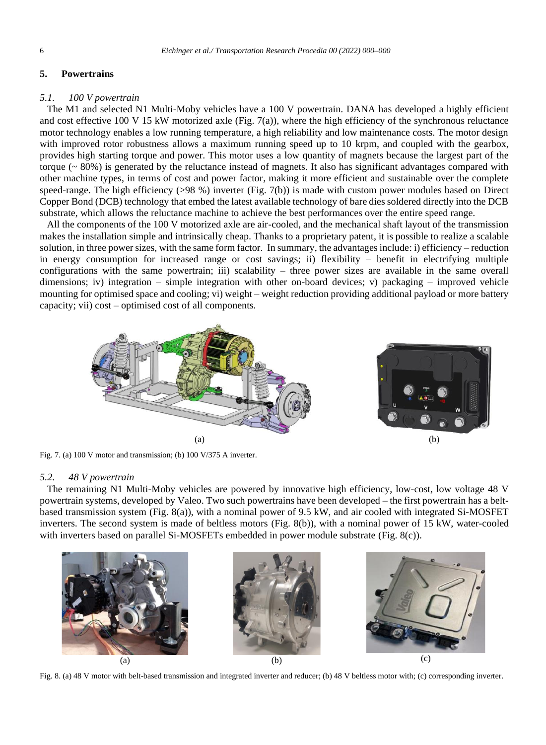#### **5. Powertrains**

#### *5.1. 100 V powertrain*

The M1 and selected N1 Multi-Moby vehicles have a 100 V powertrain. DANA has developed a highly efficient and cost effective 100 V 15 kW motorized axle [\(Fig. 7\(](#page-5-0)a)), where the high efficiency of the synchronous reluctance motor technology enables a low running temperature, a high reliability and low maintenance costs. The motor design with improved rotor robustness allows a maximum running speed up to 10 krpm, and coupled with the gearbox, provides high starting torque and power. This motor uses a low quantity of magnets because the largest part of the torque ( $\sim 80\%$ ) is generated by the reluctance instead of magnets. It also has significant advantages compared with other machine types, in terms of cost and power factor, making it more efficient and sustainable over the complete speed-range. The high efficiency (>98 %) inverter [\(Fig. 7\(](#page-5-0)b)) is made with custom power modules based on Direct Copper Bond (DCB) technology that embed the latest available technology of bare dies soldered directly into the DCB substrate, which allows the reluctance machine to achieve the best performances over the entire speed range.

All the components of the 100 V motorized axle are air-cooled, and the mechanical shaft layout of the transmission makes the installation simple and intrinsically cheap. Thanks to a proprietary patent, it is possible to realize a scalable solution, in three power sizes, with the same form factor. In summary, the advantages include: i) efficiency – reduction in energy consumption for increased range or cost savings; ii) flexibility – benefit in electrifying multiple configurations with the same powertrain; iii) scalability – three power sizes are available in the same overall dimensions; iv) integration – simple integration with other on-board devices; v) packaging – improved vehicle mounting for optimised space and cooling; vi) weight – weight reduction providing additional payload or more battery capacity; vii) cost – optimised cost of all components.



Fig. 7. (a) 100 V motor and transmission; (b) 100 V/375 A inverter.

#### <span id="page-5-0"></span>*5.2. 48 V powertrain*

The remaining N1 Multi-Moby vehicles are powered by innovative high efficiency, low-cost, low voltage 48 V powertrain systems, developed by Valeo. Two such powertrains have been developed – the first powertrain has a beltbased transmission system [\(Fig. 8\(](#page-5-1)a)), with a nominal power of 9.5 kW, and air cooled with integrated Si-MOSFET inverters. The second system is made of beltless motors [\(Fig. 8\(](#page-5-1)b)), with a nominal power of 15 kW, water-cooled with inverters based on parallel Si-MOSFETs embedded in power module substrate [\(Fig. 8\(](#page-5-1)c)).



<span id="page-5-1"></span>Fig. 8. (a) 48 V motor with belt-based transmission and integrated inverter and reducer; (b) 48 V beltless motor with; (c) corresponding inverter.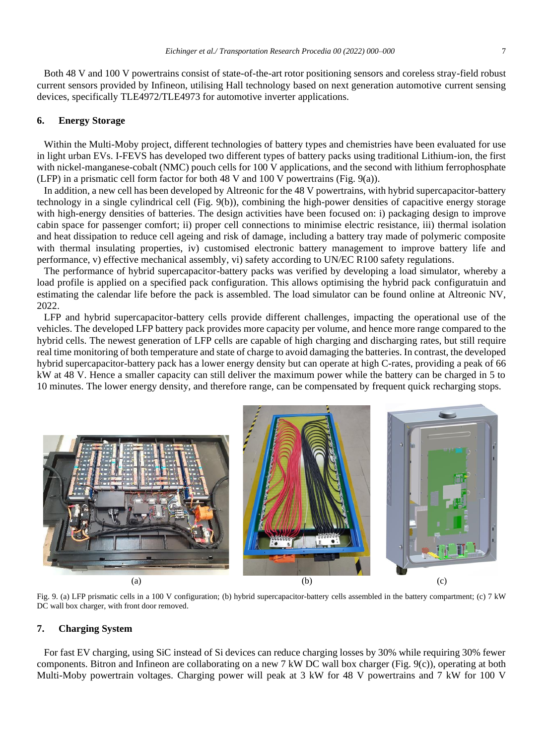Both 48 V and 100 V powertrains consist of state-of-the-art rotor positioning sensors and coreless stray-field robust current sensors provided by Infineon, utilising Hall technology based on next generation automotive current sensing devices, specifically TLE4972/TLE4973 for automotive inverter applications.

#### **6. Energy Storage**

Within the Multi-Moby project, different technologies of battery types and chemistries have been evaluated for use in light urban EVs. I-FEVS has developed two different types of battery packs using traditional Lithium-ion, the first with nickel-manganese-cobalt (NMC) pouch cells for 100 V applications, and the second with lithium ferrophosphate (LFP) in a prismatic cell form factor for both 48 V and 100 V powertrains [\(Fig. 9\(](#page-6-0)a)).

In addition, a new cell has been developed by Altreonic for the 48 V powertrains, with hybrid supercapacitor-battery technology in a single cylindrical cell [\(Fig. 9\(](#page-6-0)b)), combining the high-power densities of capacitive energy storage with high-energy densities of batteries. The design activities have been focused on: i) packaging design to improve cabin space for passenger comfort; ii) proper cell connections to minimise electric resistance, iii) thermal isolation and heat dissipation to reduce cell ageing and risk of damage, including a battery tray made of polymeric composite with thermal insulating properties, iv) customised electronic battery management to improve battery life and performance, v) effective mechanical assembly, vi) safety according to UN/EC R100 safety regulations.

The performance of hybrid supercapacitor-battery packs was verified by developing a load simulator, whereby a load profile is applied on a specified pack configuration. This allows optimising the hybrid pack configuratuin and estimating the calendar life before the pack is assembled. The load simulator can be found online at Altreonic NV, 2022.

LFP and hybrid supercapacitor-battery cells provide different challenges, impacting the operational use of the vehicles. The developed LFP battery pack provides more capacity per volume, and hence more range compared to the hybrid cells. The newest generation of LFP cells are capable of high charging and discharging rates, but still require real time monitoring of both temperature and state of charge to avoid damaging the batteries. In contrast, the developed hybrid supercapacitor-battery pack has a lower energy density but can operate at high C-rates, providing a peak of 66 kW at 48 V. Hence a smaller capacity can still deliver the maximum power while the battery can be charged in 5 to 10 minutes. The lower energy density, and therefore range, can be compensated by frequent quick recharging stops.



Fig. 9. (a) LFP prismatic cells in a 100 V configuration; (b) hybrid supercapacitor-battery cells assembled in the battery compartment; (c) 7 kW DC wall box charger, with front door removed.

#### <span id="page-6-0"></span>**7. Charging System**

For fast EV charging, using SiC instead of Si devices can reduce charging losses by 30% while requiring 30% fewer components. Bitron and Infineon are collaborating on a new 7 kW DC wall box charger [\(Fig. 9\(](#page-6-0)c)), operating at both Multi-Moby powertrain voltages. Charging power will peak at 3 kW for 48 V powertrains and 7 kW for 100 V